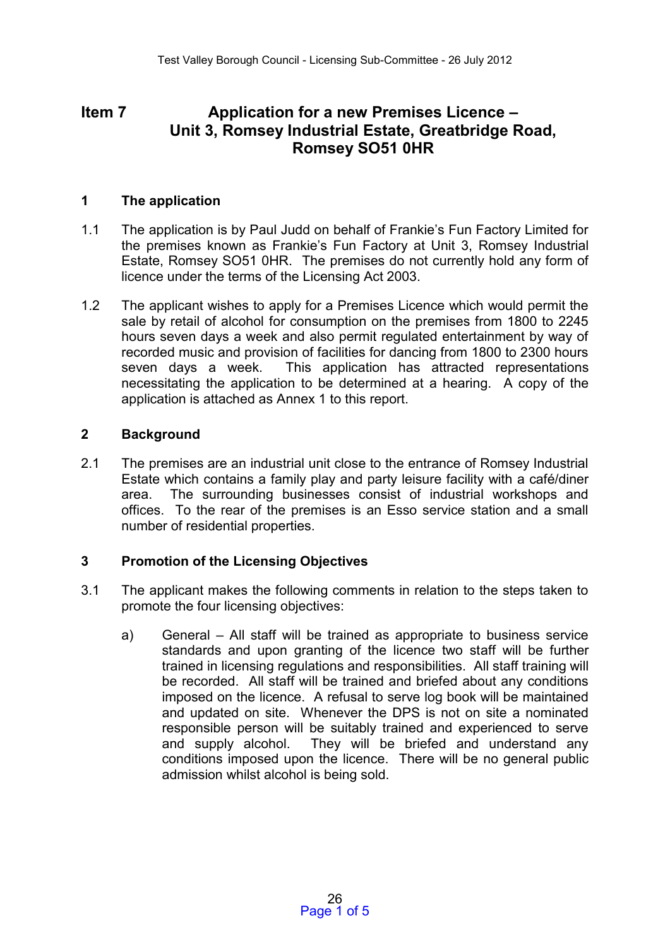# **Item 7 Application for a new Premises Licence – Unit 3, Romsey Industrial Estate, Greatbridge Road, Romsey SO51 0HR**

#### **1 The application**

- 1.1 The application is by Paul Judd on behalf of Frankie's Fun Factory Limited for the premises known as Frankie's Fun Factory at Unit 3, Romsey Industrial Estate, Romsey SO51 0HR. The premises do not currently hold any form of licence under the terms of the Licensing Act 2003.
- 1.2 The applicant wishes to apply for a Premises Licence which would permit the sale by retail of alcohol for consumption on the premises from 1800 to 2245 hours seven days a week and also permit regulated entertainment by way of recorded music and provision of facilities for dancing from 1800 to 2300 hours seven days a week. This application has attracted representations necessitating the application to be determined at a hearing. A copy of the application is attached as Annex 1 to this report.

#### **2 Background**

2.1 The premises are an industrial unit close to the entrance of Romsey Industrial Estate which contains a family play and party leisure facility with a café/diner area. The surrounding businesses consist of industrial workshops and offices. To the rear of the premises is an Esso service station and a small number of residential properties.

### **3 Promotion of the Licensing Objectives**

- 3.1 The applicant makes the following comments in relation to the steps taken to promote the four licensing objectives:
	- a) General All staff will be trained as appropriate to business service standards and upon granting of the licence two staff will be further trained in licensing regulations and responsibilities. All staff training will be recorded. All staff will be trained and briefed about any conditions imposed on the licence. A refusal to serve log book will be maintained and updated on site. Whenever the DPS is not on site a nominated responsible person will be suitably trained and experienced to serve and supply alcohol. They will be briefed and understand any conditions imposed upon the licence. There will be no general public admission whilst alcohol is being sold.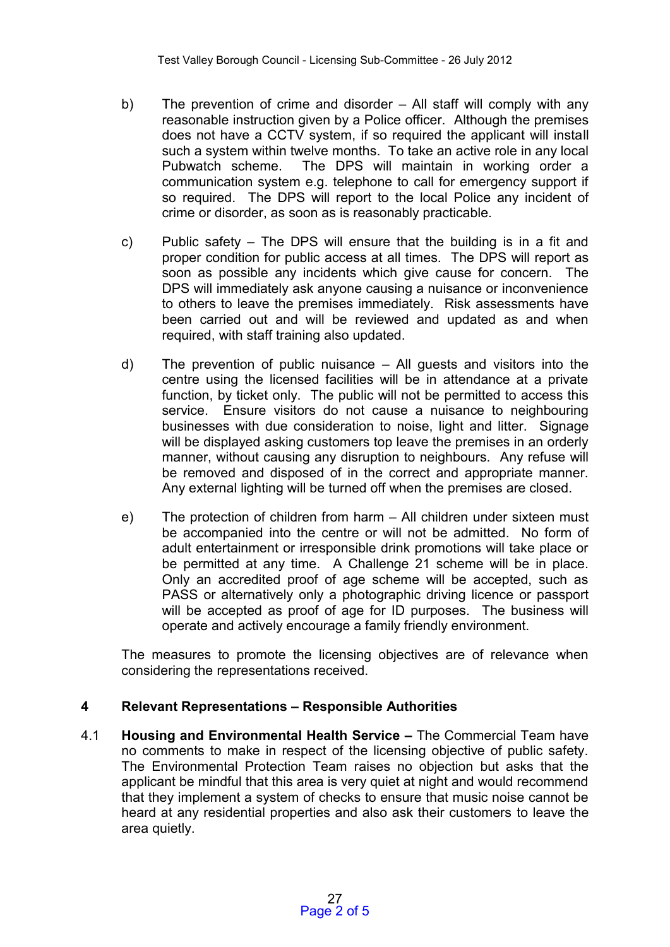- b) The prevention of crime and disorder All staff will comply with any reasonable instruction given by a Police officer. Although the premises does not have a CCTV system, if so required the applicant will install such a system within twelve months. To take an active role in any local Pubwatch scheme. The DPS will maintain in working order a communication system e.g. telephone to call for emergency support if so required. The DPS will report to the local Police any incident of crime or disorder, as soon as is reasonably practicable.
- c) Public safety The DPS will ensure that the building is in a fit and proper condition for public access at all times. The DPS will report as soon as possible any incidents which give cause for concern. The DPS will immediately ask anyone causing a nuisance or inconvenience to others to leave the premises immediately. Risk assessments have been carried out and will be reviewed and updated as and when required, with staff training also updated.
- d) The prevention of public nuisance All guests and visitors into the centre using the licensed facilities will be in attendance at a private function, by ticket only. The public will not be permitted to access this service. Ensure visitors do not cause a nuisance to neighbouring businesses with due consideration to noise, light and litter. Signage will be displayed asking customers top leave the premises in an orderly manner, without causing any disruption to neighbours. Any refuse will be removed and disposed of in the correct and appropriate manner. Any external lighting will be turned off when the premises are closed.
- e) The protection of children from harm All children under sixteen must be accompanied into the centre or will not be admitted. No form of adult entertainment or irresponsible drink promotions will take place or be permitted at any time. A Challenge 21 scheme will be in place. Only an accredited proof of age scheme will be accepted, such as PASS or alternatively only a photographic driving licence or passport will be accepted as proof of age for ID purposes. The business will operate and actively encourage a family friendly environment.

The measures to promote the licensing objectives are of relevance when considering the representations received.

# **4 Relevant Representations – Responsible Authorities**

4.1 **Housing and Environmental Health Service –** The Commercial Team have no comments to make in respect of the licensing objective of public safety. The Environmental Protection Team raises no objection but asks that the applicant be mindful that this area is very quiet at night and would recommend that they implement a system of checks to ensure that music noise cannot be heard at any residential properties and also ask their customers to leave the area quietly.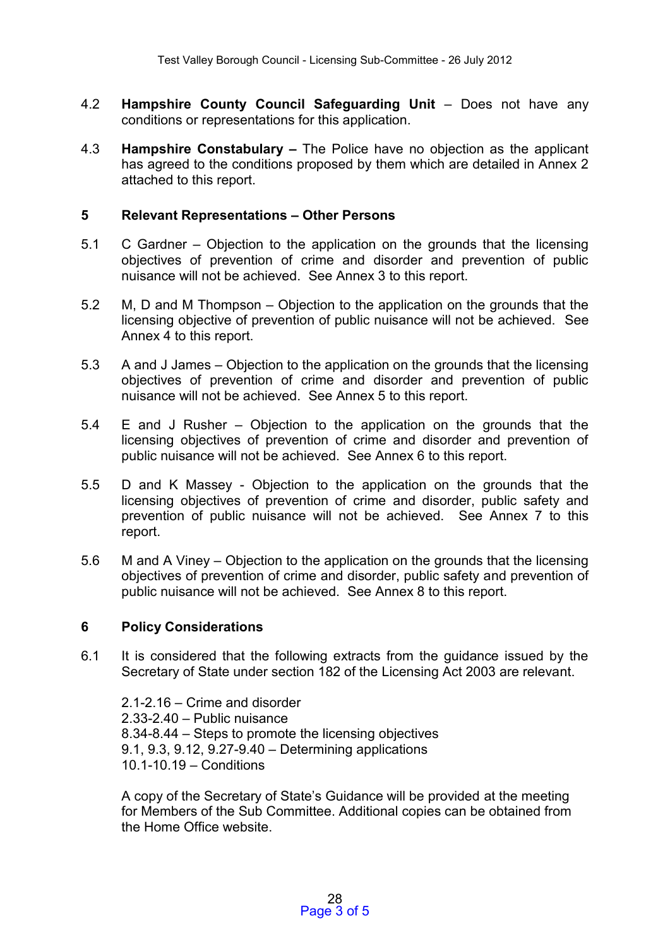- 4.2 **Hampshire County Council Safeguarding Unit**  Does not have any conditions or representations for this application.
- 4.3 **Hampshire Constabulary –** The Police have no objection as the applicant has agreed to the conditions proposed by them which are detailed in Annex 2 attached to this report.

#### **5 Relevant Representations – Other Persons**

- 5.1 C Gardner Objection to the application on the grounds that the licensing objectives of prevention of crime and disorder and prevention of public nuisance will not be achieved. See Annex 3 to this report.
- 5.2 M, D and M Thompson Objection to the application on the grounds that the licensing objective of prevention of public nuisance will not be achieved. See Annex 4 to this report.
- 5.3 A and J James Objection to the application on the grounds that the licensing objectives of prevention of crime and disorder and prevention of public nuisance will not be achieved. See Annex 5 to this report.
- 5.4 E and J Rusher Objection to the application on the grounds that the licensing objectives of prevention of crime and disorder and prevention of public nuisance will not be achieved. See Annex 6 to this report.
- 5.5 D and K Massey Objection to the application on the grounds that the licensing objectives of prevention of crime and disorder, public safety and prevention of public nuisance will not be achieved. See Annex 7 to this report.
- 5.6 M and A Viney Objection to the application on the grounds that the licensing objectives of prevention of crime and disorder, public safety and prevention of public nuisance will not be achieved. See Annex 8 to this report.

### **6 Policy Considerations**

6.1 It is considered that the following extracts from the guidance issued by the Secretary of State under section 182 of the Licensing Act 2003 are relevant.

2.1-2.16 – Crime and disorder 2.33-2.40 – Public nuisance 8.34-8.44 – Steps to promote the licensing objectives 9.1, 9.3, 9.12, 9.27-9.40 – Determining applications 10.1-10.19 – Conditions

A copy of the Secretary of State's Guidance will be provided at the meeting for Members of the Sub Committee. Additional copies can be obtained from the Home Office website.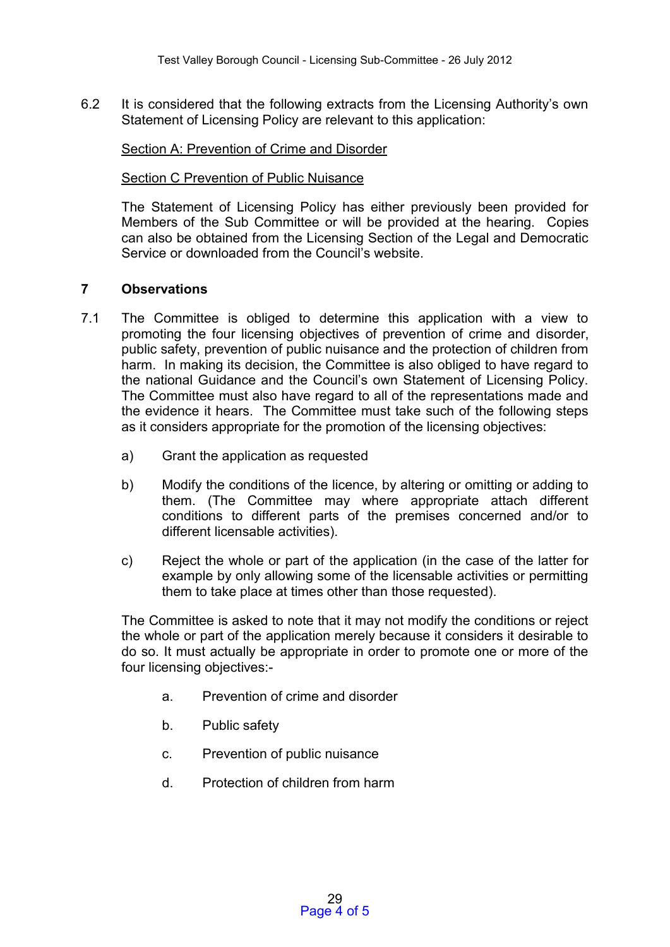6.2 It is considered that the following extracts from the Licensing Authority's own Statement of Licensing Policy are relevant to this application:

Section A: Prevention of Crime and Disorder

Section C Prevention of Public Nuisance

The Statement of Licensing Policy has either previously been provided for Members of the Sub Committee or will be provided at the hearing. Copies can also be obtained from the Licensing Section of the Legal and Democratic Service or downloaded from the Council's website.

### **7 Observations**

- 7.1 The Committee is obliged to determine this application with a view to promoting the four licensing objectives of prevention of crime and disorder, public safety, prevention of public nuisance and the protection of children from harm. In making its decision, the Committee is also obliged to have regard to the national Guidance and the Council's own Statement of Licensing Policy. The Committee must also have regard to all of the representations made and the evidence it hears. The Committee must take such of the following steps as it considers appropriate for the promotion of the licensing objectives:
	- a) Grant the application as requested
	- b) Modify the conditions of the licence, by altering or omitting or adding to them. (The Committee may where appropriate attach different conditions to different parts of the premises concerned and/or to different licensable activities).
	- c) Reject the whole or part of the application (in the case of the latter for example by only allowing some of the licensable activities or permitting them to take place at times other than those requested).

The Committee is asked to note that it may not modify the conditions or reject the whole or part of the application merely because it considers it desirable to do so. It must actually be appropriate in order to promote one or more of the four licensing objectives:-

- a. Prevention of crime and disorder
- b. Public safety
- c. Prevention of public nuisance
- d. Protection of children from harm